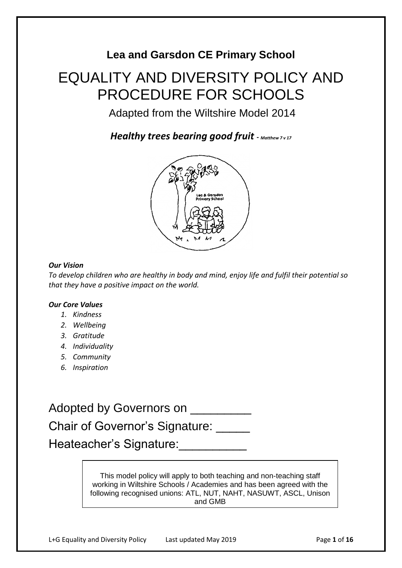# **Lea and Garsdon CE Primary School**

# EQUALITY AND DIVERSITY POLICY AND PROCEDURE FOR SCHOOLS

Adapted from the Wiltshire Model 2014

*Healthy trees bearing good fruit* **-** *Matthew 7 v 17*



# *Our Vision*

*To develop children who are healthy in body and mind, enjoy life and fulfil their potential so that they have a positive impact on the world.*

# *Our Core Values*

- *1. Kindness*
- *2. Wellbeing*
- *3. Gratitude*
- *4. Individuality*
- *5. Community*
- *6. Inspiration*

Adopted by Governors on

Chair of Governor's Signature: \_\_\_\_\_

Heateacher's Signature: \_\_\_\_\_\_\_\_

This model policy will apply to both teaching and non-teaching staff working in Wiltshire Schools / Academies and has been agreed with the following recognised unions: ATL, NUT, NAHT, NASUWT, ASCL, Unison and GMB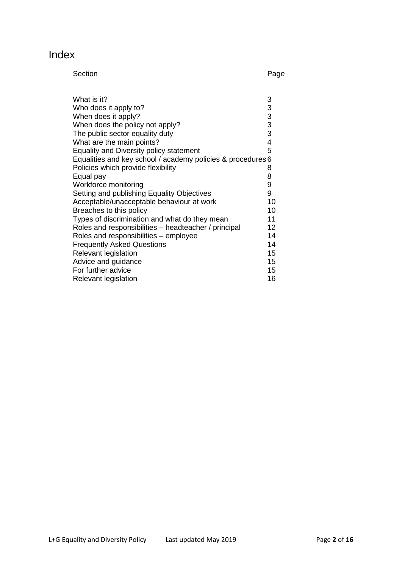# Index

Section Page

| What is it?                                                 | 3                       |
|-------------------------------------------------------------|-------------------------|
| Who does it apply to?                                       | 3                       |
| When does it apply?                                         | 3                       |
| When does the policy not apply?                             | 3                       |
| The public sector equality duty                             | 3                       |
| What are the main points?                                   | $\overline{\mathbf{4}}$ |
| Equality and Diversity policy statement                     | 5                       |
| Equalities and key school / academy policies & procedures 6 |                         |
| Policies which provide flexibility                          | 8                       |
| Equal pay                                                   | 8                       |
| Workforce monitoring                                        | 9                       |
| Setting and publishing Equality Objectives                  | 9                       |
| Acceptable/unacceptable behaviour at work                   | 10                      |
| Breaches to this policy                                     | 10                      |
| Types of discrimination and what do they mean               | 11                      |
| Roles and responsibilities - headteacher / principal        | 12                      |
| Roles and responsibilities – employee                       | 14                      |
| <b>Frequently Asked Questions</b>                           | 14                      |
| Relevant legislation                                        | 15                      |
| Advice and guidance                                         | 15                      |
| For further advice                                          | 15                      |
| Relevant legislation                                        | 16                      |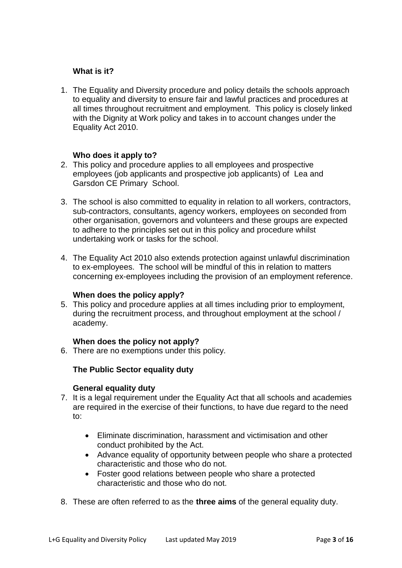# **What is it?**

1. The Equality and Diversity procedure and policy details the schools approach to equality and diversity to ensure fair and lawful practices and procedures at all times throughout recruitment and employment. This policy is closely linked with the Dignity at Work policy and takes in to account changes under the Equality Act 2010.

#### **Who does it apply to?**

- 2. This policy and procedure applies to all employees and prospective employees (job applicants and prospective job applicants) of Lea and Garsdon CE Primary School.
- 3. The school is also committed to equality in relation to all workers, contractors, sub-contractors, consultants, agency workers, employees on seconded from other organisation, governors and volunteers and these groups are expected to adhere to the principles set out in this policy and procedure whilst undertaking work or tasks for the school.
- 4. The Equality Act 2010 also extends protection against unlawful discrimination to ex-employees. The school will be mindful of this in relation to matters concerning ex-employees including the provision of an employment reference.

#### **When does the policy apply?**

5. This policy and procedure applies at all times including prior to employment, during the recruitment process, and throughout employment at the school / academy.

# **When does the policy not apply?**

6. There are no exemptions under this policy.

# **The Public Sector equality duty**

#### **General equality duty**

- 7. It is a legal requirement under the Equality Act that all schools and academies are required in the exercise of their functions, to have due regard to the need to:
	- Eliminate discrimination, harassment and victimisation and other conduct prohibited by the Act.
	- Advance equality of opportunity between people who share a protected characteristic and those who do not.
	- Foster good relations between people who share a protected characteristic and those who do not.
- 8. These are often referred to as the **three aims** of the general equality duty.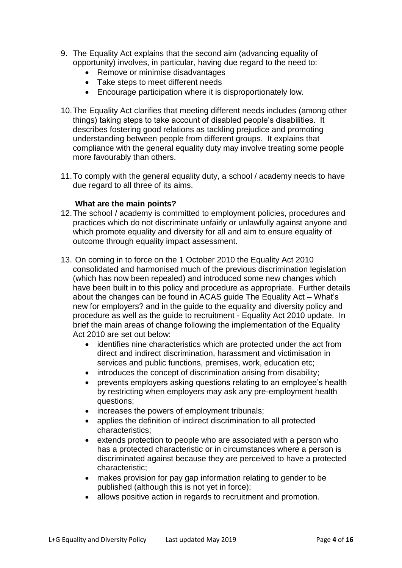- 9. The Equality Act explains that the second aim (advancing equality of opportunity) involves, in particular, having due regard to the need to:
	- Remove or minimise disadvantages
	- Take steps to meet different needs
	- Encourage participation where it is disproportionately low.
- 10.The Equality Act clarifies that meeting different needs includes (among other things) taking steps to take account of disabled people's disabilities. It describes fostering good relations as tackling prejudice and promoting understanding between people from different groups. It explains that compliance with the general equality duty may involve treating some people more favourably than others.
- 11.To comply with the general equality duty, a school / academy needs to have due regard to all three of its aims.

#### **What are the main points?**

- 12.The school / academy is committed to employment policies, procedures and practices which do not discriminate unfairly or unlawfully against anyone and which promote equality and diversity for all and aim to ensure equality of outcome through equality impact assessment.
- 13. On coming in to force on the 1 October 2010 the Equality Act 2010 consolidated and harmonised much of the previous discrimination legislation (which has now been repealed) and introduced some new changes which have been built in to this policy and procedure as appropriate. Further details about the changes can be found in ACAS guide The Equality Act – What's new for employers? and in the guide to the equality and diversity policy and procedure as well as the guide to recruitment - Equality Act 2010 update. In brief the main areas of change following the implementation of the Equality Act 2010 are set out below:
	- identifies nine characteristics which are protected under the act from direct and indirect discrimination, harassment and victimisation in services and public functions, premises, work, education etc;
	- introduces the concept of discrimination arising from disability;
	- prevents employers asking questions relating to an employee's health by restricting when employers may ask any pre-employment health questions;
	- increases the powers of employment tribunals;
	- applies the definition of indirect discrimination to all protected characteristics;
	- extends protection to people who are associated with a person who has a protected characteristic or in circumstances where a person is discriminated against because they are perceived to have a protected characteristic;
	- makes provision for pay gap information relating to gender to be published (although this is not yet in force);
	- allows positive action in regards to recruitment and promotion.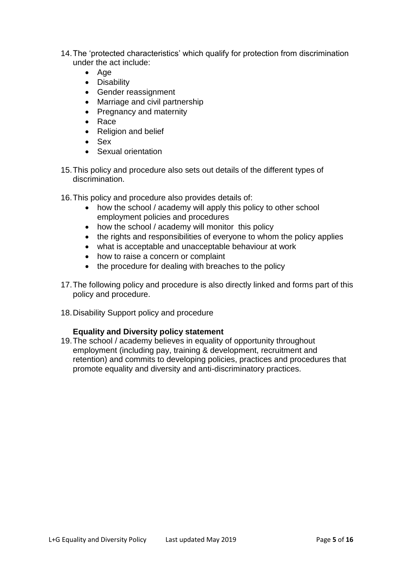- 14.The 'protected characteristics' which qualify for protection from discrimination under the act include:
	- $\bullet$  Age
	- Disability
	- Gender reassignment
	- Marriage and civil partnership
	- Pregnancy and maternity
	- Race
	- Religion and belief
	- Sex
	- Sexual orientation
- 15.This policy and procedure also sets out details of the different types of discrimination.
- 16.This policy and procedure also provides details of:
	- how the school / academy will apply this policy to other school employment policies and procedures
	- how the school / academy will monitor this policy
	- the rights and responsibilities of everyone to whom the policy applies
	- what is acceptable and unacceptable behaviour at work
	- how to raise a concern or complaint
	- the procedure for dealing with breaches to the policy
- 17.The following policy and procedure is also directly linked and forms part of this policy and procedure.
- 18.Disability Support policy and procedure

# **Equality and Diversity policy statement**

19.The school / academy believes in equality of opportunity throughout employment (including pay, training & development, recruitment and retention) and commits to developing policies, practices and procedures that promote equality and diversity and anti-discriminatory practices.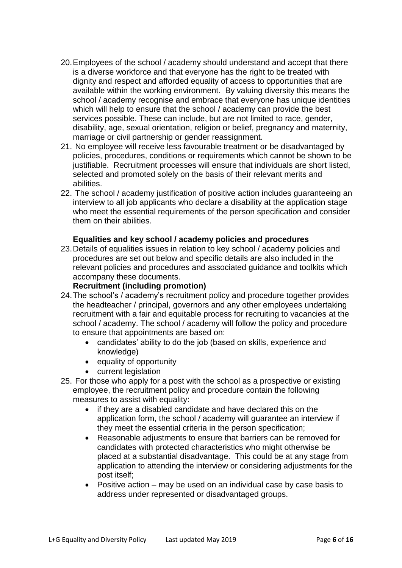- 20.Employees of the school / academy should understand and accept that there is a diverse workforce and that everyone has the right to be treated with dignity and respect and afforded equality of access to opportunities that are available within the working environment. By valuing diversity this means the school / academy recognise and embrace that everyone has unique identities which will help to ensure that the school / academy can provide the best services possible. These can include, but are not limited to race, gender, disability, age, sexual orientation, religion or belief, pregnancy and maternity, marriage or civil partnership or gender reassignment.
- 21. No employee will receive less favourable treatment or be disadvantaged by policies, procedures, conditions or requirements which cannot be shown to be justifiable. Recruitment processes will ensure that individuals are short listed, selected and promoted solely on the basis of their relevant merits and abilities.
- 22. The school / academy justification of positive action includes guaranteeing an interview to all job applicants who declare a disability at the application stage who meet the essential requirements of the person specification and consider them on their abilities.

# **Equalities and key school / academy policies and procedures**

23.Details of equalities issues in relation to key school / academy policies and procedures are set out below and specific details are also included in the relevant policies and procedures and associated guidance and toolkits which accompany these documents.

### **Recruitment (including promotion)**

- 24.The school's / academy's recruitment policy and procedure together provides the headteacher / principal, governors and any other employees undertaking recruitment with a fair and equitable process for recruiting to vacancies at the school / academy. The school / academy will follow the policy and procedure to ensure that appointments are based on:
	- candidates' ability to do the job (based on skills, experience and knowledge)
	- equality of opportunity
	- current legislation
- 25. For those who apply for a post with the school as a prospective or existing employee, the recruitment policy and procedure contain the following measures to assist with equality:
	- if they are a disabled candidate and have declared this on the application form, the school / academy will guarantee an interview if they meet the essential criteria in the person specification;
	- Reasonable adjustments to ensure that barriers can be removed for candidates with protected characteristics who might otherwise be placed at a substantial disadvantage. This could be at any stage from application to attending the interview or considering adjustments for the post itself;
	- Positive action may be used on an individual case by case basis to address under represented or disadvantaged groups.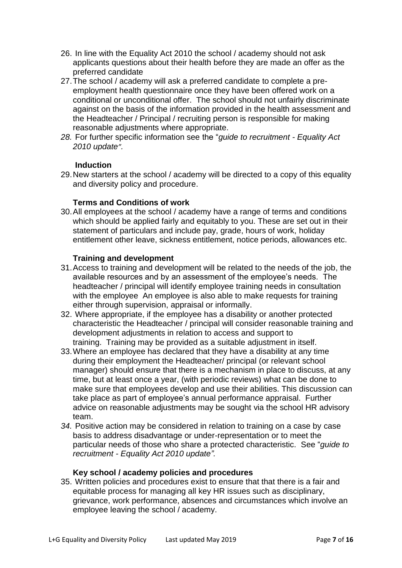- 26. In line with the Equality Act 2010 the school / academy should not ask applicants questions about their health before they are made an offer as the preferred candidate
- 27.The school / academy will ask a preferred candidate to complete a preemployment health questionnaire once they have been offered work on a conditional or unconditional offer. The school should not unfairly discriminate against on the basis of the information provided in the health assessment and the Headteacher / Principal / recruiting person is responsible for making reasonable adjustments where appropriate.
- *28.* For further specific information see the "*[guide to recruitment -](http://thewire.wiltshire.council/hrdirect/equalityanddiversity/equalopportunities/recruitmentguideequalityact2010update.htm) Equality Act [2010 update](http://thewire.wiltshire.council/hrdirect/equalityanddiversity/equalopportunities/recruitmentguideequalityact2010update.htm)".*

#### **Induction**

29.New starters at the school / academy will be directed to a copy of this equality and diversity policy and procedure.

#### **Terms and Conditions of work**

30.All employees at the school / academy have a range of terms and conditions which should be applied fairly and equitably to you. These are set out in their statement of particulars and include pay, grade, hours of work, holiday entitlement other leave, sickness entitlement, notice periods, allowances etc.

#### **Training and development**

- 31.Access to training and development will be related to the needs of the job, the available resources and by an assessment of the employee's needs. The headteacher / principal will identify employee training needs in consultation with the employee An employee is also able to make requests for training either through supervision, appraisal or informally.
- 32. Where appropriate, if the employee has a disability or another protected characteristic the Headteacher / principal will consider reasonable training and development adjustments in relation to access and support to training. Training may be provided as a suitable adjustment in itself.
- 33.Where an employee has declared that they have a disability at any time during their employment the Headteacher/ principal (or relevant school manager) should ensure that there is a mechanism in place to discuss, at any time, but at least once a year, (with periodic reviews) what can be done to make sure that employees develop and use their abilities. This discussion can take place as part of employee's annual performance appraisal. Further advice on reasonable adjustments may be sought via the school HR advisory team.
- *34.* Positive action may be considered in relation to training on a case by case basis to address disadvantage or under-representation or to meet the particular needs of those who share a protected characteristic. See "*guide to recruitment - Equality Act 2010 update".*

#### **Key school / academy policies and procedures**

35. Written policies and procedures exist to ensure that that there is a fair and equitable process for managing all key HR issues such as disciplinary, grievance, work performance, absences and circumstances which involve an employee leaving the school / academy.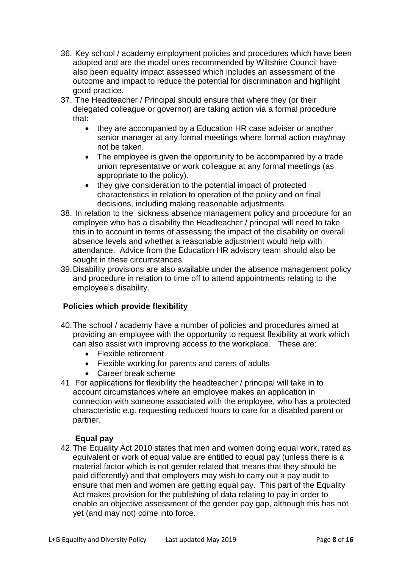- 36. Key school / academy employment policies and procedures which have been adopted and are the model ones recommended by Wiltshire Council have also been equality impact assessed which includes an assessment of the outcome and impact to reduce the potential for discrimination and highlight good practice.
- 37. The Headteacher / Principal should ensure that where they (or their delegated colleague or governor) are taking action via a formal procedure that:
	- they are accompanied by a Education HR case adviser or another senior manager at any formal meetings where formal action may/may not be taken.
	- The employee is given the opportunity to be accompanied by a trade union representative or work colleague at any formal meetings (as appropriate to the policy).
	- they give consideration to the potential impact of protected characteristics in relation to operation of the policy and on final decisions, including making reasonable adjustments.
- 38. In relation to the sickness absence management policy and procedure for an employee who has a disability the Headteacher / principal will need to take this in to account in terms of assessing the impact of the disability on overall absence levels and whether a [reasonable adjustment](http://thewire.wiltshire.council/hrdirect/equalityanddiversity/supportfordisabledemployees/disabilitysupportinworkplacepolicyprocedure.htm) would help with attendance. Advice from the Education HR advisory team should also be sought in these circumstances.
- 39.Disability provisions are also available under the absence management policy and procedure in relation to [time off to attend appointments relating to the](http://thewire.wiltshire.council/hrdirect/sicknessabsencetimeoff/sickness/sicknessabsencemanagementpolicy.htm)  [employee's](http://thewire.wiltshire.council/hrdirect/sicknessabsencetimeoff/sickness/sicknessabsencemanagementpolicy.htm) disability.

# **Policies which provide flexibility**

- 40.The school / academy have a number of policies and procedures aimed at providing an employee with the opportunity to request flexibility at work which can also assist with improving access to the workplace. These are:
	- Flexible retirement
	- Flexible working for parents and carers of adults
	- Career break scheme
- 41. For applications for flexibility the headteacher / principal will take in to account circumstances where an employee makes an application in connection with someone associated with the employee, who has a protected characteristic e.g. requesting reduced hours to care for a disabled parent or partner.

# **Equal pay**

42.The Equality Act 2010 states that men and women doing equal work, rated as equivalent or work of equal value are entitled to equal pay (unless there is a material factor which is not gender related that means that they should be paid differently) and that employers may wish to carry out a pay audit to ensure that men and women are getting equal pay. This part of the Equality Act makes provision for the publishing of data relating to pay in order to enable an objective assessment of the gender pay gap, although this has not yet (and may not) come into force.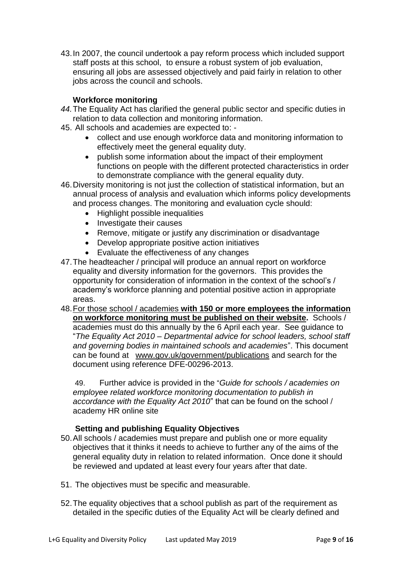43.In 2007, the council undertook a pay reform process which included support staff posts at this school, to ensure a robust system of job evaluation, ensuring all jobs are assessed objectively and paid fairly in relation to other jobs across the council and schools.

# **[Workforce monitoring](http://thewire.wiltshire.council/)**

- *44.*The Equality Act has clarified the general public sector and specific duties in relation to data collection and monitoring information.
- 45. All schools and academies are expected to:
	- collect and use enough workforce data and monitoring information to effectively meet the general equality duty.
	- publish some information about the impact of their employment functions on people with the different protected characteristics in order to demonstrate compliance with the general equality duty.
- 46.Diversity monitoring is not just the collection of statistical information, but an annual process of analysis and evaluation which informs policy developments and process changes. The monitoring and evaluation cycle should:
	- Highlight possible inequalities
	- Investigate their causes
	- Remove, mitigate or justify any discrimination or disadvantage
	- Develop appropriate positive action initiatives
	- Evaluate the effectiveness of any changes
- 47.The headteacher / principal will produce an annual report on workforce equality and diversity information for the governors. This provides the opportunity for consideration of information in the context of the school's / academy's workforce planning and potential positive action in appropriate areas.
- 48.For those school / academies **with 150 or more employees the information on workforce monitoring must be published on their website.** Schools / academies must do this annually by the 6 April each year. See guidance to "*The Equality Act 2010 – Departmental advice for school leaders, school staff and governing bodies in maintained schools and academies*". This document can be found at [www.gov.uk/government/publications](http://www.gov.uk/government/publications) and search for the document using reference DFE-00296-2013.

49. Further advice is provided in the "*Guide for schools / academies on employee related workforce monitoring documentation to publish in accordance with the Equality Act 2010*" that can be found on the school / academy HR online site

# **Setting and publishing Equality Objectives**

- 50.All schools / academies must prepare and publish one or more equality objectives that it thinks it needs to achieve to further any of the aims of the general equality duty in relation to related information. Once done it should be reviewed and updated at least every four years after that date.
- 51. The objectives must be specific and measurable.
- 52.The equality objectives that a school publish as part of the requirement as detailed in the specific duties of the Equality Act will be clearly defined and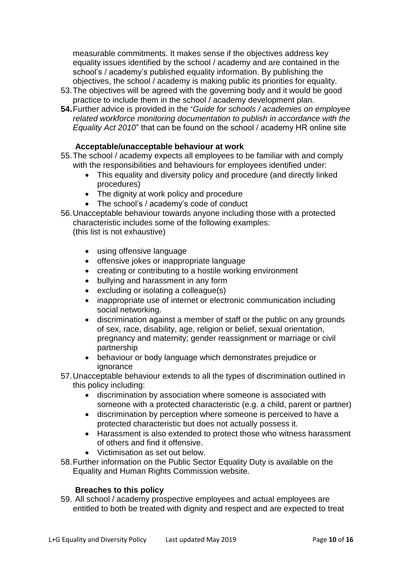measurable commitments. It makes sense if the objectives address key equality issues identified by the school / academy and are contained in the school's / academy's published equality information. By publishing the objectives, the school / academy is making public its priorities for equality.

- 53.The objectives will be agreed with the governing body and it would be good practice to include them in the school / academy development plan.
- **54.**Further advice is provided in the "*Guide for schools / academies on employee related workforce monitoring documentation to publish in accordance with the Equality Act 2010*" that can be found on the school / academy HR online site

# **Acceptable/unacceptable behaviour at work**

- 55.The school / academy expects all employees to be familiar with and comply with the responsibilities and behaviours for employees identified under:
	- This equality and diversity policy and procedure (and directly linked procedures)
	- The dignity at work policy and procedure
	- The school's / academy's code of conduct
- 56.Unacceptable behaviour towards anyone including those with a protected characteristic includes some of the following examples: (this list is not exhaustive)
	- using offensive language
	- offensive jokes or inappropriate language
	- creating or contributing to a hostile working environment
	- bullying and harassment in any form
	- excluding or isolating a colleague(s)
	- inappropriate use of internet or electronic communication including social networking.
	- discrimination against a member of staff or the public on any grounds of sex, race, disability, age, religion or belief, sexual orientation, pregnancy and maternity; gender reassignment or marriage or civil partnership
	- behaviour or body language which demonstrates prejudice or ignorance
- 57.Unacceptable behaviour extends to all the types of discrimination outlined in this policy including:
	- discrimination by association where someone is associated with someone with a protected characteristic (e.g. a child, parent or partner)
	- discrimination by perception where someone is perceived to have a protected characteristic but does not actually possess it.
	- Harassment is also extended to protect those who witness harassment of others and find it offensive.
	- Victimisation as set out below.
- 58.Further information on the Public Sector Equality Duty is available on the Equality and Human Rights Commission website.

# **Breaches to this policy**

59. All school / academy prospective employees and actual employees are entitled to both be treated with dignity and respect and are expected to treat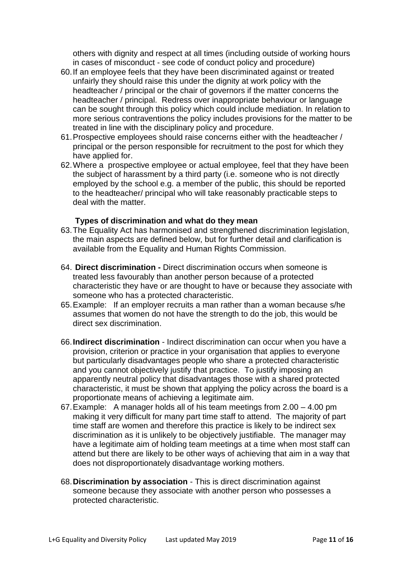others with dignity and respect at all times (including outside of working hours in cases of misconduct - see code of conduct policy and procedure)

- 60.If an employee feels that they have been discriminated against or treated unfairly they should raise this under the dignity at work policy with the headteacher / principal or the chair of governors if the matter concerns the headteacher / principal. Redress over inappropriate behaviour or language can be sought through this policy which could include mediation. In relation to more serious contraventions the policy includes provisions for the matter to be treated in line with the disciplinary policy and procedure.
- 61.Prospective employees should raise concerns either with the headteacher / principal or the person responsible for recruitment to the post for which they have applied for.
- 62.Where a prospective employee or actual employee, feel that they have been the subject of harassment by a third party (i.e. someone who is not directly employed by the school e.g. a member of the public, this should be reported to the headteacher/ principal who will take reasonably practicable steps to deal with the matter.

#### **Types of discrimination and what do they mean**

- 63.The Equality Act has harmonised and strengthened discrimination legislation, the main aspects are defined below, but for further detail and clarification is available from the Equality and Human Rights Commission.
- 64. **Direct discrimination -** Direct discrimination occurs when someone is treated less favourably than another person because of a protected characteristic they have or are thought to have or because they associate with someone who has a protected characteristic.
- 65.Example: If an employer recruits a man rather than a woman because s/he assumes that women do not have the strength to do the job, this would be direct sex discrimination.
- 66.**Indirect discrimination** Indirect discrimination can occur when you have a provision, criterion or practice in your organisation that applies to everyone but particularly disadvantages people who share a protected characteristic and you cannot objectively justify that practice. To justify imposing an apparently neutral policy that disadvantages those with a shared protected characteristic, it must be shown that applying the policy across the board is a proportionate means of achieving a legitimate aim.
- 67.Example: A manager holds all of his team meetings from 2.00 4.00 pm making it very difficult for many part time staff to attend. The majority of part time staff are women and therefore this practice is likely to be indirect sex discrimination as it is unlikely to be objectively justifiable. The manager may have a legitimate aim of holding team meetings at a time when most staff can attend but there are likely to be other ways of achieving that aim in a way that does not disproportionately disadvantage working mothers.
- 68.**Discrimination by association**  This is direct discrimination against someone because they associate with another person who possesses a protected characteristic.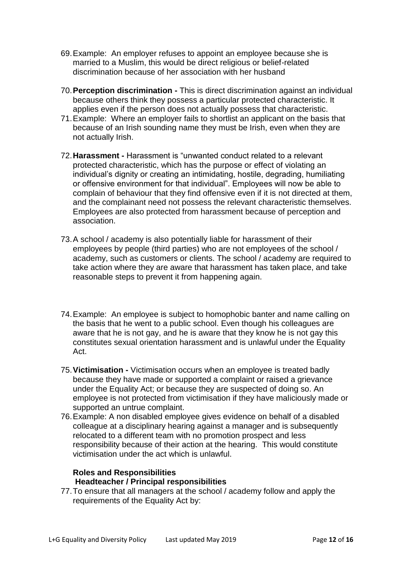- 69.Example: An employer refuses to appoint an employee because she is married to a Muslim, this would be direct religious or belief-related discrimination because of her association with her husband
- 70.**Perception discrimination -** This is direct discrimination against an individual because others think they possess a particular protected characteristic. It applies even if the person does not actually possess that characteristic.
- 71.Example: Where an employer fails to shortlist an applicant on the basis that because of an Irish sounding name they must be Irish, even when they are not actually Irish.
- 72.**Harassment -** Harassment is "unwanted conduct related to a relevant protected characteristic, which has the purpose or effect of violating an individual's dignity or creating an intimidating, hostile, degrading, humiliating or offensive environment for that individual". Employees will now be able to complain of behaviour that they find offensive even if it is not directed at them, and the complainant need not possess the relevant characteristic themselves. Employees are also protected from harassment because of perception and association.
- 73.A school / academy is also potentially liable for harassment of their employees by people (third parties) who are not employees of the school / academy, such as customers or clients. The school / academy are required to take action where they are aware that harassment has taken place, and take reasonable steps to prevent it from happening again.
- 74.Example: An employee is subject to homophobic banter and name calling on the basis that he went to a public school. Even though his colleagues are aware that he is not gay, and he is aware that they know he is not gay this constitutes sexual orientation harassment and is unlawful under the Equality Act.
- 75.**Victimisation -** Victimisation occurs when an employee is treated badly because they have made or supported a complaint or raised a grievance under the Equality Act; or because they are suspected of doing so. An employee is not protected from victimisation if they have maliciously made or supported an untrue complaint.
- 76.Example: A non disabled employee gives evidence on behalf of a disabled colleague at a disciplinary hearing against a manager and is subsequently relocated to a different team with no promotion prospect and less responsibility because of their action at the hearing. This would constitute victimisation under the act which is unlawful.

# **Roles and Responsibilities Headteacher / Principal responsibilities**

77.To ensure that all managers at the school / academy follow and apply the requirements of the Equality Act by: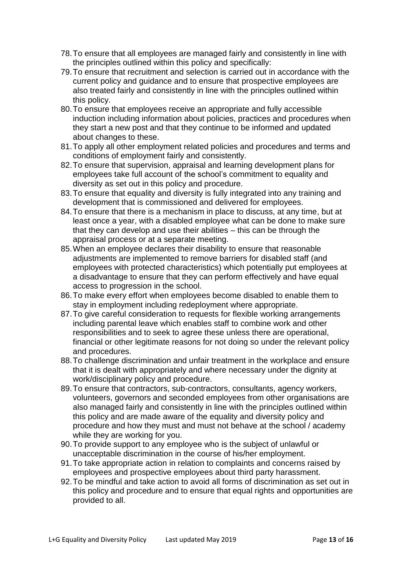- 78.To ensure that all employees are managed fairly and consistently in line with the principles outlined within this policy and specifically:
- 79.To ensure that recruitment and selection is carried out in accordance with the current policy and guidance and to ensure that prospective employees are also treated fairly and consistently in line with the principles outlined within this policy.
- 80.To ensure that employees receive an appropriate and fully accessible induction including information about policies, practices and procedures when they start a new post and that they continue to be informed and updated about changes to these.
- 81.To apply all other employment related policies and procedures and terms and conditions of employment fairly and consistently.
- 82.To ensure that supervision, appraisal and learning development plans for employees take full account of the school's commitment to equality and diversity as set out in this policy and procedure.
- 83.To ensure that equality and diversity is fully integrated into any training and development that is commissioned and delivered for employees.
- 84.To ensure that there is a mechanism in place to discuss, at any time, but at least once a year, with a disabled employee what can be done to make sure that they can develop and use their abilities – this can be through the appraisal process or at a separate meeting.
- 85.When an employee declares their disability to ensure that reasonable adjustments are implemented to remove barriers for disabled staff (and employees with protected characteristics) which potentially put employees at a disadvantage to ensure that they can perform effectively and have equal access to progression in the school.
- 86.To make every effort when employees become disabled to enable them to stay in employment including redeployment where appropriate.
- 87. To give careful consideration to requests for flexible working arrangements including parental leave which enables staff to combine work and other responsibilities and to seek to agree these unless there are operational, financial or other legitimate reasons for not doing so under the relevant policy and procedures.
- 88.To challenge discrimination and unfair treatment in the workplace and ensure that it is dealt with appropriately and where necessary under the dignity at work/disciplinary policy and procedure.
- 89.To ensure that contractors, sub-contractors, consultants, agency workers, volunteers, governors and seconded employees from other organisations are also managed fairly and consistently in line with the principles outlined within this policy and are made aware of the equality and diversity policy and procedure and how they must and must not behave at the school / academy while they are working for you.
- 90.To provide support to any employee who is the subject of unlawful or unacceptable discrimination in the course of his/her employment.
- 91.To take appropriate action in relation to complaints and concerns raised by employees and prospective employees about third party harassment.
- 92.To be mindful and take action to avoid all forms of discrimination as set out in this policy and procedure and to ensure that equal rights and opportunities are provided to all.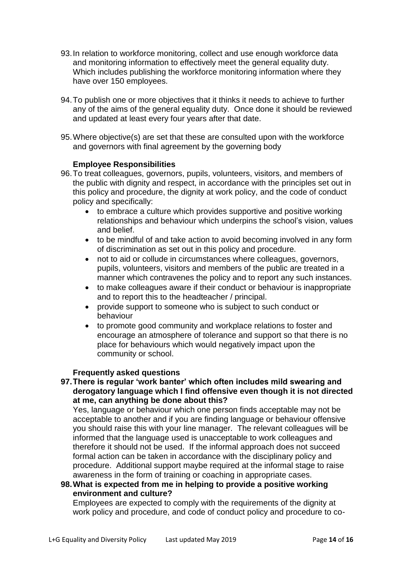- 93.In relation to workforce monitoring, collect and use enough workforce data and monitoring information to effectively meet the general equality duty. Which includes publishing the workforce monitoring information where they have over 150 employees.
- 94.To publish one or more objectives that it thinks it needs to achieve to further any of the aims of the general equality duty. Once done it should be reviewed and updated at least every four years after that date.
- 95.Where objective(s) are set that these are consulted upon with the workforce and governors with final agreement by the governing body

# **Employee Responsibilities**

- 96.To treat colleagues, governors, pupils, volunteers, visitors, and members of the public with dignity and respect, in accordance with the principles set out in this policy and procedure, the dignity at work policy, and the code of conduct policy and specifically:
	- to embrace a culture which provides supportive and positive working relationships and behaviour which underpins the school's vision, values and belief.
	- to be mindful of and take action to avoid becoming involved in any form of discrimination as set out in this policy and procedure.
	- not to aid or collude in circumstances where colleagues, governors, pupils, volunteers, visitors and members of the public are treated in a manner which contravenes the policy and to report any such instances.
	- to make colleagues aware if their conduct or behaviour is inappropriate and to report this to the headteacher / principal.
	- provide support to someone who is subject to such conduct or behaviour
	- to promote good community and workplace relations to foster and encourage an atmosphere of tolerance and support so that there is no place for behaviours which would negatively impact upon the community or school.

#### **Frequently asked questions**

**97.There is regular 'work banter' which often includes mild swearing and derogatory language which I find offensive even though it is not directed at me, can anything be done about this?** 

Yes, language or behaviour which one person finds acceptable may not be acceptable to another and if you are finding language or behaviour offensive you should raise this with your line manager. The relevant colleagues will be informed that the language used is unacceptable to work colleagues and therefore it should not be used. If the informal approach does not succeed formal action can be taken in accordance with the disciplinary policy and procedure. Additional support maybe required at the informal stage to raise awareness in the form of training or coaching in appropriate cases.

**98.What is expected from me in helping to provide a positive working environment and culture?** 

Employees are expected to comply with the requirements of the dignity at work policy and procedure, and code of conduct policy and procedure to co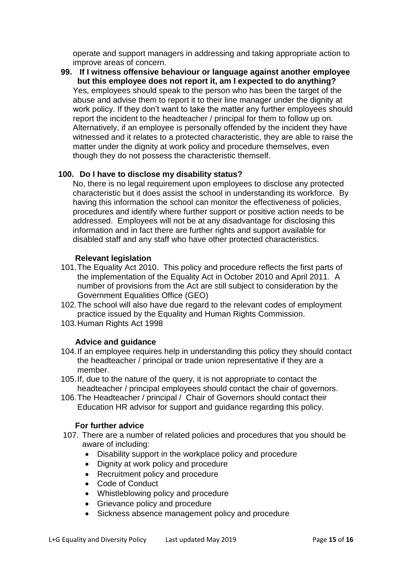operate and support managers in addressing and taking appropriate action to improve areas of concern.

**99. If I witness offensive behaviour or language against another employee but this employee does not report it, am I expected to do anything?**  Yes, employees should speak to the person who has been the target of the abuse and advise them to report it to their line manager under the dignity at work policy. If they don't want to take the matter any further employees should report the incident to the headteacher / principal for them to follow up on. Alternatively, if an employee is personally offended by the incident they have witnessed and it relates to a protected characteristic, they are able to raise the matter under the dignity at work policy and procedure themselves, even though they do not possess the characteristic themself.

# **100. Do I have to disclose my disability status?**

No, there is no legal requirement upon employees to disclose any protected characteristic but it does assist the school in understanding its workforce. By having this information the school can monitor the effectiveness of policies, procedures and identify where further support or positive action needs to be addressed. Employees will not be at any disadvantage for disclosing this information and in fact there are further rights and support available for disabled staff and any staff who have other protected characteristics.

# **[Relevant legislation](http://thewire.wiltshire.council/)**

- 101.The Equality Act 2010. This policy and procedure reflects the first parts of the implementation of the Equality Act in October 2010 and April 2011. A number of provisions from the Act are still subject to consideration by the Government Equalities Office (GEO)
- 102.The school will also have due regard to the relevant codes of employment practice issued by the Equality and Human Rights Commission.
- 103.Human Rights Act 1998

# **Advice and guidance**

- 104.If an employee requires help in understanding this policy they should contact the headteacher / principal or trade union representative if they are a member.
- 105.If, due to the nature of the query, it is not appropriate to contact the headteacher / principal employees should contact the chair of governors.
- 106.The Headteacher / principal / Chair of Governors should contact their Education HR advisor for support and guidance regarding this policy.

#### **For further advice**

- 107. There are a number of related policies and procedures that you should be aware of including:
	- Disability support in the workplace policy and procedure
	- Dignity at work policy and procedure
	- Recruitment policy and procedure
	- Code of Conduct
	- Whistleblowing policy and procedure
	- Grievance policy and procedure
	- Sickness absence management policy and procedure